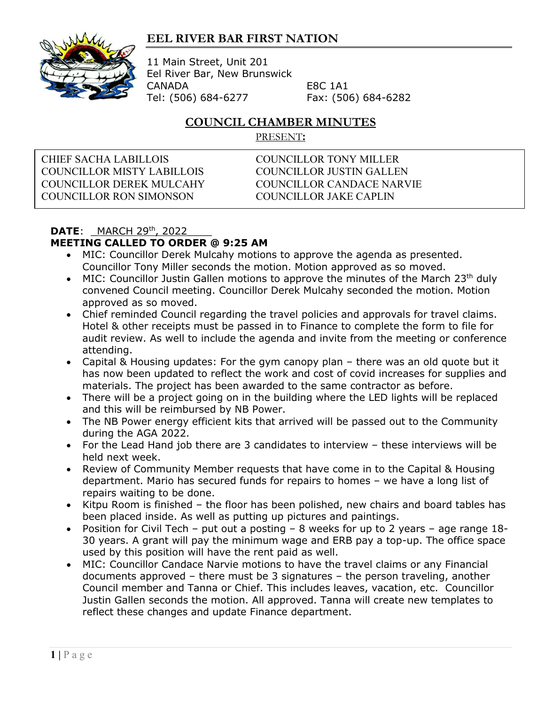## **EEL RIVER BAR FIRST NATION**



11 Main Street, Unit 201 Eel River Bar, New Brunswick CANADA E8C 1A1 Tel: (506) 684-6277 Fax: (506) 684-6282

## **COUNCIL CHAMBER MINUTES**

PRESENT**:**

CHIEF SACHA LABILLOIS COUNCILLOR TONY MILLER COUNCILLOR MISTY LABILLOIS COUNCILLOR JUSTIN GALLEN COUNCILLOR DEREK MULCAHY COUNCILLOR CANDACE NARVIE COUNCILLOR RON SIMONSON COUNCILLOR JAKE CAPLIN

## **DATE:** MARCH 29<sup>th</sup>, 2022 **MEETING CALLED TO ORDER @ 9:25 AM**

- MIC: Councillor Derek Mulcahy motions to approve the agenda as presented. Councillor Tony Miller seconds the motion. Motion approved as so moved.
- MIC: Councillor Justin Gallen motions to approve the minutes of the March 23<sup>th</sup> duly convened Council meeting. Councillor Derek Mulcahy seconded the motion. Motion approved as so moved.
- Chief reminded Council regarding the travel policies and approvals for travel claims. Hotel & other receipts must be passed in to Finance to complete the form to file for audit review. As well to include the agenda and invite from the meeting or conference attending.
- Capital & Housing updates: For the gym canopy plan there was an old quote but it has now been updated to reflect the work and cost of covid increases for supplies and materials. The project has been awarded to the same contractor as before.
- There will be a project going on in the building where the LED lights will be replaced and this will be reimbursed by NB Power.
- The NB Power energy efficient kits that arrived will be passed out to the Community during the AGA 2022.
- For the Lead Hand job there are 3 candidates to interview these interviews will be held next week.
- Review of Community Member requests that have come in to the Capital & Housing department. Mario has secured funds for repairs to homes – we have a long list of repairs waiting to be done.
- Kitpu Room is finished the floor has been polished, new chairs and board tables has been placed inside. As well as putting up pictures and paintings.
- Position for Civil Tech put out a posting 8 weeks for up to 2 years age range 18- 30 years. A grant will pay the minimum wage and ERB pay a top-up. The office space used by this position will have the rent paid as well.
- MIC: Councillor Candace Narvie motions to have the travel claims or any Financial documents approved – there must be 3 signatures – the person traveling, another Council member and Tanna or Chief. This includes leaves, vacation, etc. Councillor Justin Gallen seconds the motion. All approved. Tanna will create new templates to reflect these changes and update Finance department.